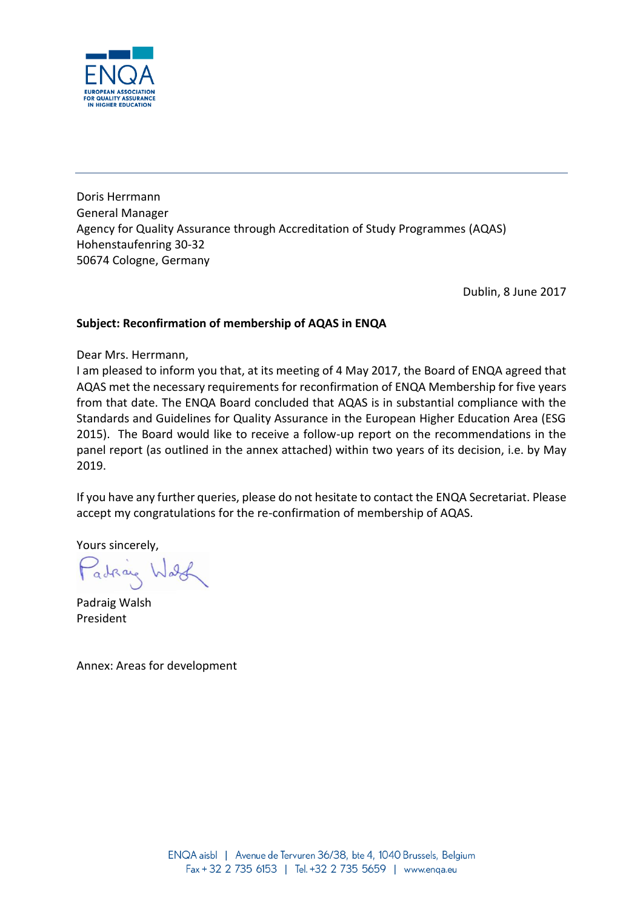

Doris Herrmann General Manager Agency for Quality Assurance through Accreditation of Study Programmes (AQAS) Hohenstaufenring 30-32 50674 Cologne, Germany

Dublin, 8 June 2017

## **Subject: Reconfirmation of membership of AQAS in ENQA**

Dear Mrs. Herrmann,

I am pleased to inform you that, at its meeting of 4 May 2017, the Board of ENQA agreed that AQAS met the necessary requirements for reconfirmation of ENQA Membership for five years from that date. The ENQA Board concluded that AQAS is in substantial compliance with the Standards and Guidelines for Quality Assurance in the European Higher Education Area (ESG 2015). The Board would like to receive a follow-up report on the recommendations in the panel report (as outlined in the annex attached) within two years of its decision, i.e. by May 2019.

If you have any further queries, please do not hesitate to contact the ENQA Secretariat. Please accept my congratulations for the re-confirmation of membership of AQAS.

Yours sincerely,

Padraig Wash

Padraig Walsh President

Annex: Areas for development